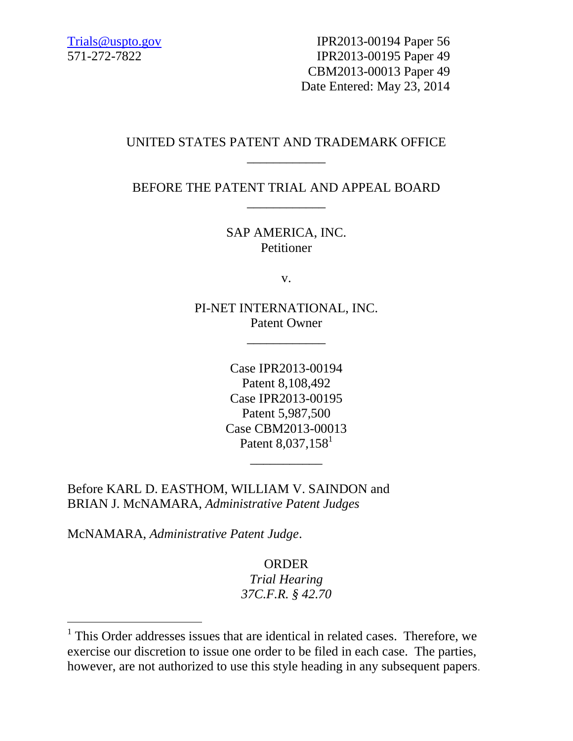Trials @uspto.gov Firm PR2013-00194 Paper 56 IPR2013-00195 Paper 49 CBM2013-00013 Paper 49 Date Entered: May 23, 2014

# UNITED STATES PATENT AND TRADEMARK OFFICE \_\_\_\_\_\_\_\_\_\_\_\_

BEFORE THE PATENT TRIAL AND APPEAL BOARD \_\_\_\_\_\_\_\_\_\_\_\_

> SAP AMERICA, INC. Petitioner

> > v.

PI-NET INTERNATIONAL, INC. Patent Owner

\_\_\_\_\_\_\_\_\_\_\_\_

Case IPR2013-00194 Patent 8,108,492 Case IPR2013-00195 Patent 5,987,500 Case CBM2013-00013 Patent 8,037,158<sup>1</sup>

\_\_\_\_\_\_\_\_\_\_\_

Before KARL D. EASTHOM, WILLIAM V. SAINDON and BRIAN J. McNAMARA, *Administrative Patent Judges*

McNAMARA, *Administrative Patent Judge*.

 $\overline{a}$ 

ORDER

*Trial Hearing 37C.F.R. § 42.70*

<sup>&</sup>lt;sup>1</sup> This Order addresses issues that are identical in related cases. Therefore, we exercise our discretion to issue one order to be filed in each case. The parties, however, are not authorized to use this style heading in any subsequent papers.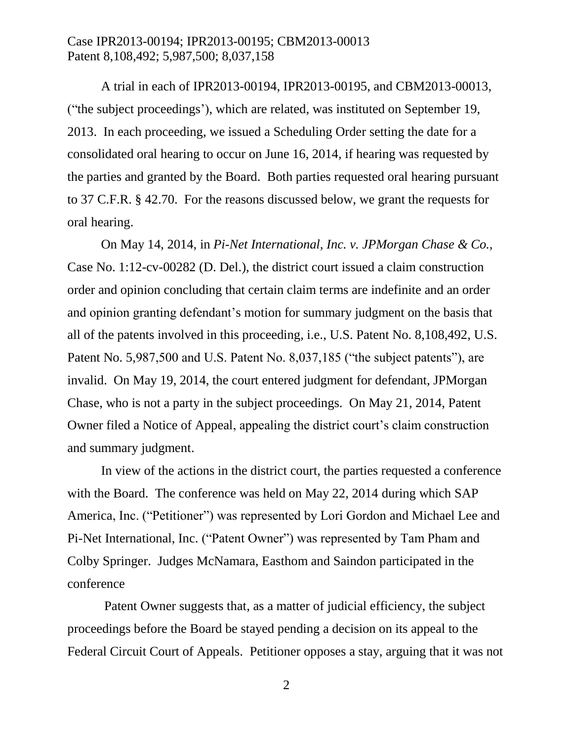A trial in each of IPR2013-00194, IPR2013-00195, and CBM2013-00013, ("the subject proceedings'), which are related, was instituted on September 19, 2013. In each proceeding, we issued a Scheduling Order setting the date for a consolidated oral hearing to occur on June 16, 2014, if hearing was requested by the parties and granted by the Board. Both parties requested oral hearing pursuant to 37 C.F.R. § 42.70. For the reasons discussed below, we grant the requests for oral hearing.

On May 14, 2014, in *Pi-Net International, Inc. v. JPMorgan Chase & Co.,*  Case No. 1:12-cv-00282 (D. Del.), the district court issued a claim construction order and opinion concluding that certain claim terms are indefinite and an order and opinion granting defendant's motion for summary judgment on the basis that all of the patents involved in this proceeding, i.e., U.S. Patent No. 8,108,492, U.S. Patent No. 5,987,500 and U.S. Patent No. 8,037,185 ("the subject patents"), are invalid. On May 19, 2014, the court entered judgment for defendant, JPMorgan Chase, who is not a party in the subject proceedings. On May 21, 2014, Patent Owner filed a Notice of Appeal, appealing the district court's claim construction and summary judgment.

In view of the actions in the district court, the parties requested a conference with the Board. The conference was held on May 22, 2014 during which SAP America, Inc. ("Petitioner") was represented by Lori Gordon and Michael Lee and Pi-Net International, Inc. ("Patent Owner") was represented by Tam Pham and Colby Springer. Judges McNamara, Easthom and Saindon participated in the conference

Patent Owner suggests that, as a matter of judicial efficiency, the subject proceedings before the Board be stayed pending a decision on its appeal to the Federal Circuit Court of Appeals. Petitioner opposes a stay, arguing that it was not

2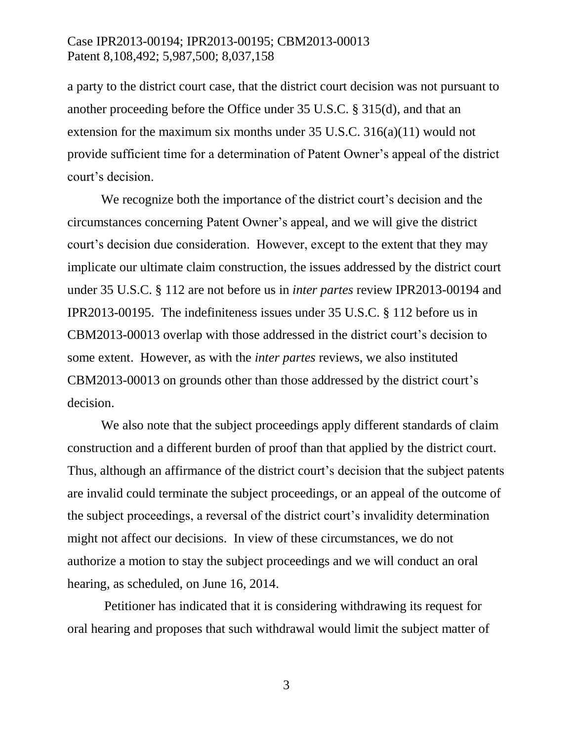a party to the district court case, that the district court decision was not pursuant to another proceeding before the Office under 35 U.S.C. § 315(d), and that an extension for the maximum six months under 35 U.S.C. 316(a)(11) would not provide sufficient time for a determination of Patent Owner's appeal of the district court's decision.

We recognize both the importance of the district court's decision and the circumstances concerning Patent Owner's appeal, and we will give the district court's decision due consideration. However, except to the extent that they may implicate our ultimate claim construction, the issues addressed by the district court under 35 U.S.C. § 112 are not before us in *inter partes* review IPR2013-00194 and IPR2013-00195. The indefiniteness issues under 35 U.S.C. § 112 before us in CBM2013-00013 overlap with those addressed in the district court's decision to some extent. However, as with the *inter partes* reviews, we also instituted CBM2013-00013 on grounds other than those addressed by the district court's decision.

We also note that the subject proceedings apply different standards of claim construction and a different burden of proof than that applied by the district court. Thus, although an affirmance of the district court's decision that the subject patents are invalid could terminate the subject proceedings, or an appeal of the outcome of the subject proceedings, a reversal of the district court's invalidity determination might not affect our decisions. In view of these circumstances, we do not authorize a motion to stay the subject proceedings and we will conduct an oral hearing, as scheduled, on June 16, 2014.

Petitioner has indicated that it is considering withdrawing its request for oral hearing and proposes that such withdrawal would limit the subject matter of

3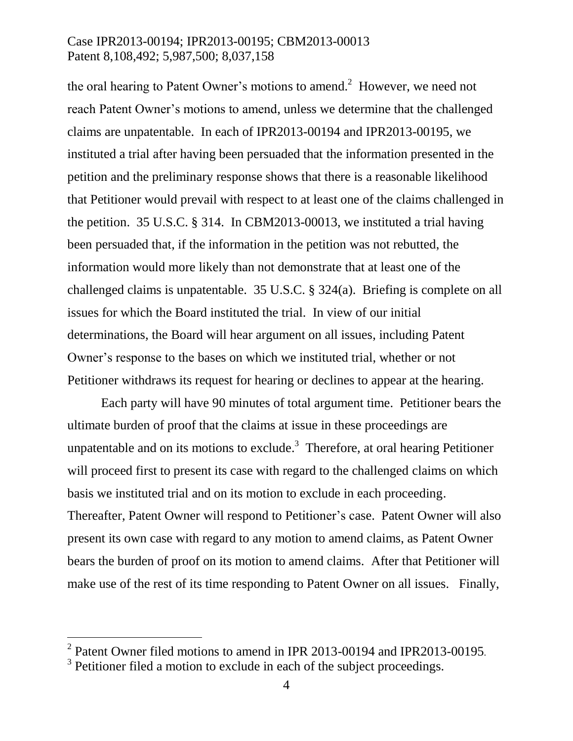the oral hearing to Patent Owner's motions to amend.<sup>2</sup> However, we need not reach Patent Owner's motions to amend, unless we determine that the challenged claims are unpatentable. In each of IPR2013-00194 and IPR2013-00195, we instituted a trial after having been persuaded that the information presented in the petition and the preliminary response shows that there is a reasonable likelihood that Petitioner would prevail with respect to at least one of the claims challenged in the petition. 35 U.S.C. § 314. In CBM2013-00013, we instituted a trial having been persuaded that, if the information in the petition was not rebutted, the information would more likely than not demonstrate that at least one of the challenged claims is unpatentable. 35 U.S.C. § 324(a). Briefing is complete on all issues for which the Board instituted the trial. In view of our initial determinations, the Board will hear argument on all issues, including Patent Owner's response to the bases on which we instituted trial, whether or not Petitioner withdraws its request for hearing or declines to appear at the hearing.

Each party will have 90 minutes of total argument time. Petitioner bears the ultimate burden of proof that the claims at issue in these proceedings are unpatentable and on its motions to exclude.<sup>3</sup> Therefore, at oral hearing Petitioner will proceed first to present its case with regard to the challenged claims on which basis we instituted trial and on its motion to exclude in each proceeding. Thereafter, Patent Owner will respond to Petitioner's case. Patent Owner will also present its own case with regard to any motion to amend claims, as Patent Owner bears the burden of proof on its motion to amend claims. After that Petitioner will make use of the rest of its time responding to Patent Owner on all issues. Finally,

 $\overline{a}$ 

 $2$  Patent Owner filed motions to amend in IPR 2013-00194 and IPR2013-00195.

 $3$  Petitioner filed a motion to exclude in each of the subject proceedings.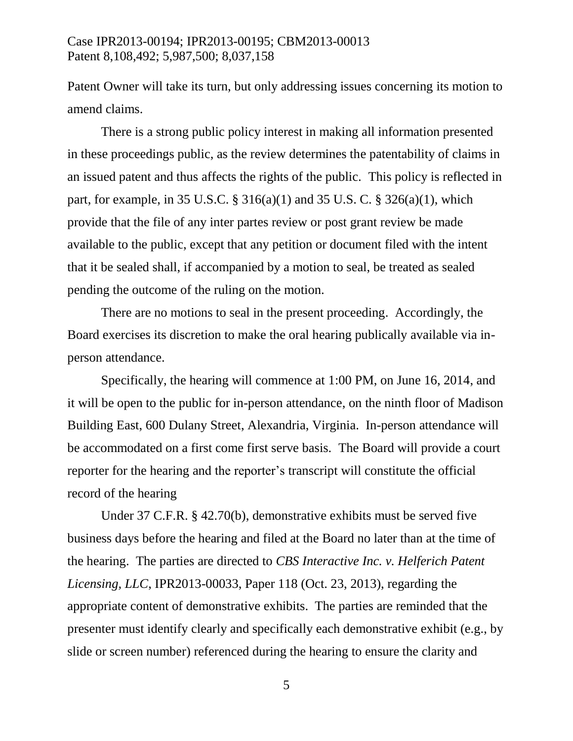Patent Owner will take its turn, but only addressing issues concerning its motion to amend claims.

There is a strong public policy interest in making all information presented in these proceedings public, as the review determines the patentability of claims in an issued patent and thus affects the rights of the public. This policy is reflected in part, for example, in 35 U.S.C. § 316(a)(1) and 35 U.S. C. § 326(a)(1), which provide that the file of any inter partes review or post grant review be made available to the public, except that any petition or document filed with the intent that it be sealed shall, if accompanied by a motion to seal, be treated as sealed pending the outcome of the ruling on the motion.

There are no motions to seal in the present proceeding. Accordingly, the Board exercises its discretion to make the oral hearing publically available via inperson attendance.

Specifically, the hearing will commence at 1:00 PM, on June 16, 2014, and it will be open to the public for in-person attendance, on the ninth floor of Madison Building East, 600 Dulany Street, Alexandria, Virginia. In-person attendance will be accommodated on a first come first serve basis. The Board will provide a court reporter for the hearing and the reporter's transcript will constitute the official record of the hearing

Under 37 C.F.R. § 42.70(b), demonstrative exhibits must be served five business days before the hearing and filed at the Board no later than at the time of the hearing. The parties are directed to *CBS Interactive Inc. v. Helferich Patent Licensing, LLC*, IPR2013-00033, Paper 118 (Oct. 23, 2013), regarding the appropriate content of demonstrative exhibits. The parties are reminded that the presenter must identify clearly and specifically each demonstrative exhibit (e.g., by slide or screen number) referenced during the hearing to ensure the clarity and

5